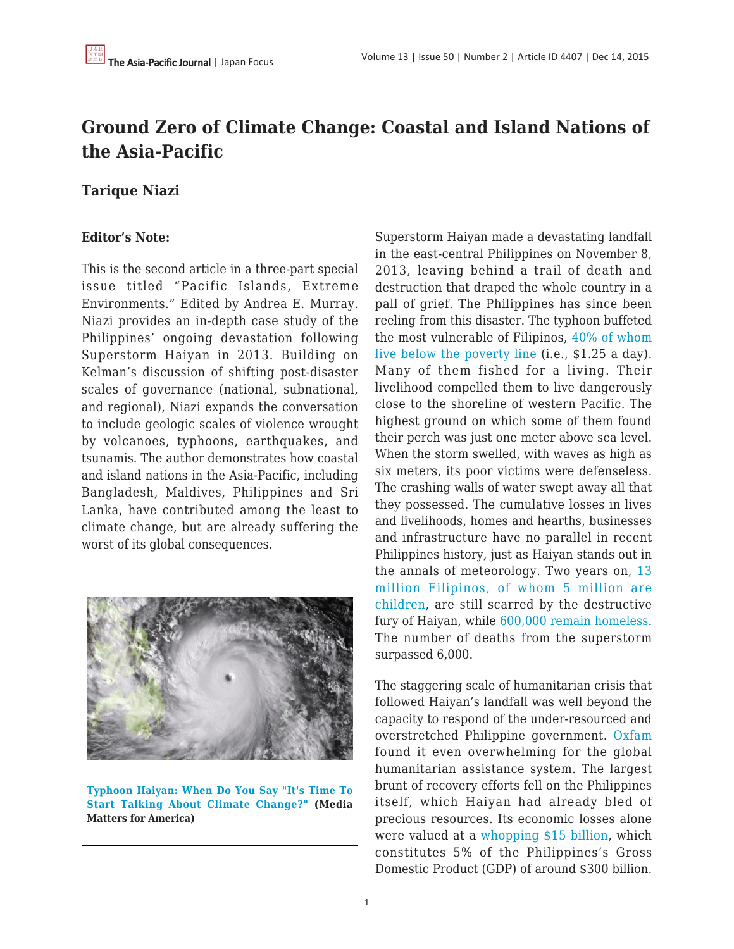# **Ground Zero of Climate Change: Coastal and Island Nations of the Asia-Pacific**

## **Tarique Niazi**

## **Editor's Note:**

This is the second article in a three-part special issue titled "Pacific Islands, Extreme Environments." Edited by Andrea E. Murray. Niazi provides an in-depth case study of the Philippines' ongoing devastation following Superstorm Haiyan in 2013. Building on Kelman's discussion of shifting post-disaster scales of governance (national, subnational, and regional), Niazi expands the conversation to include geologic scales of violence wrought by volcanoes, typhoons, earthquakes, and tsunamis. The author demonstrates how coastal and island nations in the Asia-Pacific, including Bangladesh, Maldives, Philippines and Sri Lanka, have contributed among the least to climate change, but are already suffering the worst of its global consequences.



**[Typhoon Haiyan: When Do You Say "It's Time To](http://mediamatters.org/research/2013/11/19/typhoon-haiyan-study-finds-media-rarely-covered/196961) [Start Talking About Climate Change?"](http://mediamatters.org/research/2013/11/19/typhoon-haiyan-study-finds-media-rarely-covered/196961) (Media Matters for America)**

Superstorm Haiyan made a devastating landfall in the east-central Philippines on November 8, 2013, leaving behind a trail of death and destruction that draped the whole country in a pall of grief. The Philippines has since been reeling from this disaster. The typhoon buffeted the most vulnerable of Filipinos, [40% of whom](http://onpoint.wbur.org/2013/11/13/typhoon-haiyan-philippines-climate-change) [live below the poverty line](http://onpoint.wbur.org/2013/11/13/typhoon-haiyan-philippines-climate-change) (i.e., \$1.25 a day). Many of them fished for a living. Their livelihood compelled them to live dangerously close to the shoreline of western Pacific. The highest ground on which some of them found their perch was just one meter above sea level. When the storm swelled, with waves as high as six meters, its poor victims were defenseless. The crashing walls of water swept away all that they possessed. The cumulative losses in lives and livelihoods, homes and hearths, businesses and infrastructure have no parallel in recent Philippines history, just as Haiyan stands out in the annals of meteorology. Two years on, [13](http://www.wfla.com/story/23991224/typhoon-haiyan-a-crisis-by-the-numbers) [million Filipinos, of whom 5 million are](http://www.wfla.com/story/23991224/typhoon-haiyan-a-crisis-by-the-numbers) [children](http://www.wfla.com/story/23991224/typhoon-haiyan-a-crisis-by-the-numbers), are still scarred by the destructive fury of Haiyan, while [600,000 remain homeless.](http://www.economist.com/news/asia/21589916-one-strongest-storms-ever-recorded-has-devastated-parts-philippines-and-relief) The number of deaths from the superstorm surpassed 6,000.

The staggering scale of humanitarian crisis that followed Haiyan's landfall was well beyond the capacity to respond of the under-resourced and overstretched Philippine government. [Oxfam](http://onpoint.wbur.org/2013/11/13/typhoon-haiyan-philippines-climate-change) found it even overwhelming for the global humanitarian assistance system. The largest brunt of recovery efforts fell on the Philippines itself, which Haiyan had already bled of precious resources. Its economic losses alone were valued at a [whopping \\$15 billion,](http://rt.com/business/phillipines-hurricane-economic-losses-581/) which constitutes 5% of the Philippines's Gross Domestic Product (GDP) of around \$300 billion.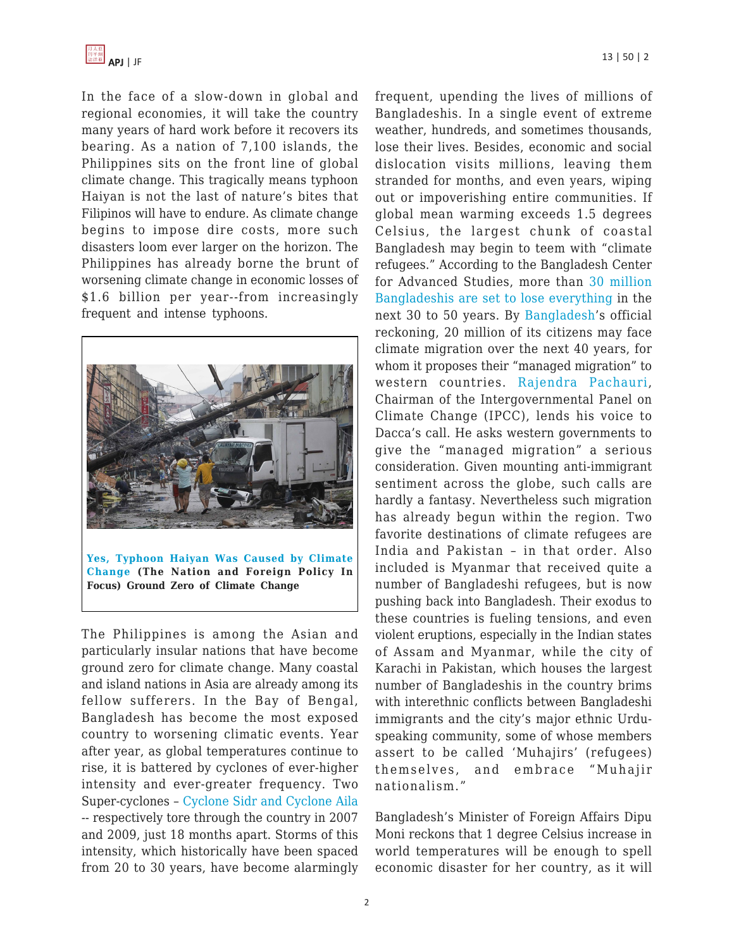

In the face of a slow-down in global and regional economies, it will take the country many years of hard work before it recovers its bearing. As a nation of 7,100 islands, the Philippines sits on the front line of global climate change. This tragically means typhoon Haiyan is not the last of nature's bites that Filipinos will have to endure. As climate change begins to impose dire costs, more such disasters loom ever larger on the horizon. The Philippines has already borne the brunt of worsening climate change in economic losses of \$1.6 billion per year--from increasingly frequent and intense typhoons.



**[Yes, Typhoon Haiyan Was Caused by Climate](http://www.thenation.com/article/yes-typhoon-haiyan-was-caused-climate-change/) [Change](http://www.thenation.com/article/yes-typhoon-haiyan-was-caused-climate-change/) (The Nation and Foreign Policy In Focus) Ground Zero of Climate Change**

The Philippines is among the Asian and particularly insular nations that have become ground zero for climate change. Many coastal and island nations in Asia are already among its fellow sufferers. In the Bay of Bengal, Bangladesh has become the most exposed country to worsening climatic events. Year after year, as global temperatures continue to rise, it is battered by cyclones of ever-higher intensity and ever-greater frequency. Two Super-cyclones – [Cyclone Sidr and Cyclone Aila](http://www.theguardian.com/environment/2012/may/09/bangladesh-war-against-climate-change) -- respectively tore through the country in 2007 and 2009, just 18 months apart. Storms of this intensity, which historically have been spaced from 20 to 30 years, have become alarmingly frequent, upending the lives of millions of Bangladeshis. In a single event of extreme weather, hundreds, and sometimes thousands, lose their lives. Besides, economic and social dislocation visits millions, leaving them stranded for months, and even years, wiping out or impoverishing entire communities. If global mean warming exceeds 1.5 degrees Celsius, the largest chunk of coastal Bangladesh may begin to teem with "climate refugees." According to the Bangladesh Center for Advanced Studies, more than [30 million](http://www.theguardian.com/environment/2012/may/09/bangladesh-war-against-climate-change) [Bangladeshis are set to lose everything](http://www.theguardian.com/environment/2012/may/09/bangladesh-war-against-climate-change) in the next 30 to 50 years. By [Bangladesh'](http://www.theguardian.com/environment/2009/nov/30/rich-west-climate-change)s official reckoning, 20 million of its citizens may face climate migration over the next 40 years, for whom it proposes their "managed migration" to western countries. [Rajendra Pachauri,](http://www.theguardian.com/environment/2009/nov/30/rich-west-climate-change) Chairman of the Intergovernmental Panel on Climate Change (IPCC), lends his voice to Dacca's call. He asks western governments to give the "managed migration" a serious consideration. Given mounting anti-immigrant sentiment across the globe, such calls are hardly a fantasy. Nevertheless such migration has already begun within the region. Two favorite destinations of climate refugees are India and Pakistan – in that order. Also included is Myanmar that received quite a number of Bangladeshi refugees, but is now pushing back into Bangladesh. Their exodus to these countries is fueling tensions, and even violent eruptions, especially in the Indian states of Assam and Myanmar, while the city of Karachi in Pakistan, which houses the largest number of Bangladeshis in the country brims with interethnic conflicts between Bangladeshi immigrants and the city's major ethnic Urduspeaking community, some of whose members assert to be called 'Muhajirs' (refugees) themselves, and embrace "Muhajir nationalism."

Bangladesh's Minister of Foreign Affairs Dipu Moni reckons that 1 degree Celsius increase in world temperatures will be enough to spell economic disaster for her country, as it will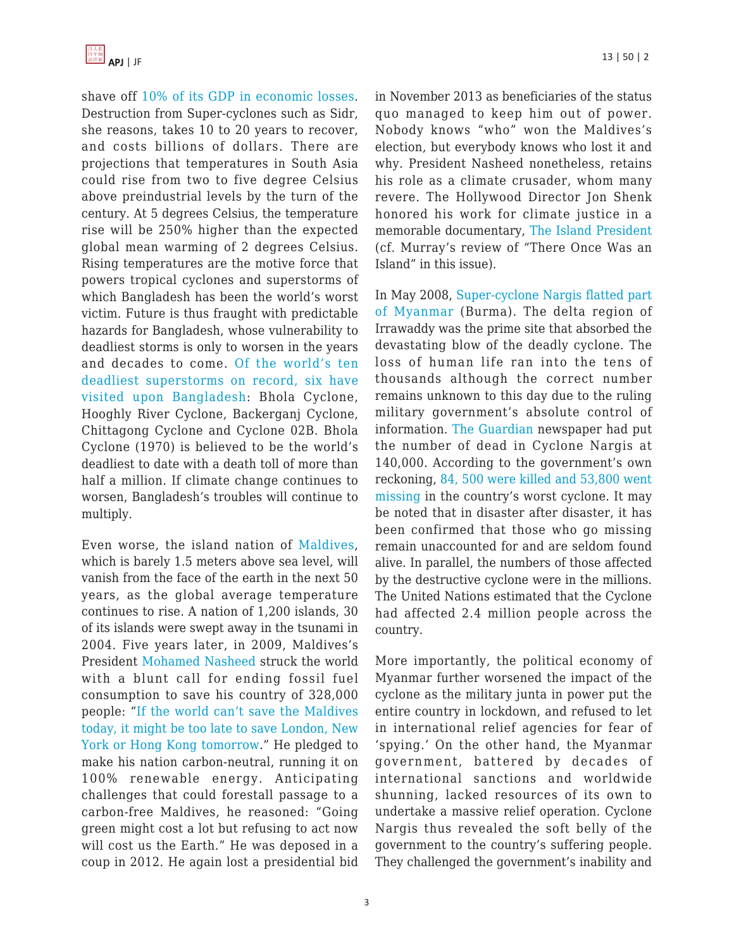shave off [10% of its GDP in economic losses.](http://www.theguardian.com/environment/2012/may/09/bangladesh-war-against-climate-change) Destruction from Super-cyclones such as Sidr, she reasons, takes 10 to 20 years to recover, and costs billions of dollars. There are projections that temperatures in South Asia could rise from two to five degree Celsius above preindustrial levels by the turn of the century. At 5 degrees Celsius, the temperature rise will be 250% higher than the expected global mean warming of 2 degrees Celsius. Rising temperatures are the motive force that powers tropical cyclones and superstorms of which Bangladesh has been the world's worst victim. Future is thus fraught with predictable hazards for Bangladesh, whose vulnerability to deadliest storms is only to worsen in the years and decades to come. [Of the world's ten](http://www.nbcnews.com/id/24488385/ns/technology_and_science-science/t/deadliest-storms-history/) [deadliest superstorms on record, six have](http://www.nbcnews.com/id/24488385/ns/technology_and_science-science/t/deadliest-storms-history/) [visited upon Bangladesh:](http://www.nbcnews.com/id/24488385/ns/technology_and_science-science/t/deadliest-storms-history/) Bhola Cyclone, Hooghly River Cyclone, Backerganj Cyclone, Chittagong Cyclone and Cyclone 02B. Bhola Cyclone (1970) is believed to be the world's deadliest to date with a death toll of more than half a million. If climate change continues to worsen, Bangladesh's troubles will continue to multiply.

Even worse, the island nation of [Maldives,](http://www.theguardian.com/environment/2009/mar/15/carbon-emissions-climate-change?guni=Article:in body link) which is barely 1.5 meters above sea level, will vanish from the face of the earth in the next 50 years, as the global average temperature continues to rise. A nation of 1,200 islands, 30 of its islands were swept away in the tsunami in 2004. Five years later, in 2009, Maldives's President [Mohamed Nasheed](http://www.theguardian.com/environment/2009/mar/15/carbon-emissions-climate-change?guni=Article:in body link) struck the world with a blunt call for ending fossil fuel consumption to save his country of 328,000 people: "[If the world can't save the Maldives](http://www.theguardian.com/environment/2009/mar/15/carbon-emissions-climate-change?guni=Article:in body link) [today, it might be too late to save London, New](http://www.theguardian.com/environment/2009/mar/15/carbon-emissions-climate-change?guni=Article:in body link) [York or Hong Kong tomorrow.](http://www.theguardian.com/environment/2009/mar/15/carbon-emissions-climate-change?guni=Article:in body link)" He pledged to make his nation carbon-neutral, running it on 100% renewable energy. Anticipating challenges that could forestall passage to a carbon-free Maldives, he reasoned: "Going green might cost a lot but refusing to act now will cost us the Earth." He was deposed in a coup in 2012. He again lost a presidential bid in November 2013 as beneficiaries of the status quo managed to keep him out of power. Nobody knows "who" won the Maldives's election, but everybody knows who lost it and why. President Nasheed nonetheless, retains his role as a climate crusader, whom many revere. The Hollywood Director Jon Shenk honored his work for climate justice in a memorable documentary, [The Island President](http://theislandpresident.com/) (cf. Murray's review of "There Once Was an Island" in this issue).

In May 2008, [Super-cyclone Nargis flatted part](http://www.ifrc.org/en/news-and-media/news-stories/asia-pacific/myanmar/myanmar-cyclone-nargis-2008-facts-and-figures/) [of Myanmar](http://www.ifrc.org/en/news-and-media/news-stories/asia-pacific/myanmar/myanmar-cyclone-nargis-2008-facts-and-figures/) (Burma). The delta region of Irrawaddy was the prime site that absorbed the devastating blow of the deadly cyclone. The loss of human life ran into the tens of thousands although the correct number remains unknown to this day due to the ruling military government's absolute control of information. [The Guardian](http://www.theguardian.com/world/2015/aug/02/burma-flood-toll-will-increase-as-monsoon-rains-lash-region-warns-un) newspaper had put the number of dead in Cyclone Nargis at 140,000. According to the government's own reckoning, [84, 500 were killed and 53,800 went](http://www.ifrc.org/en/news-and-media/news-stories/asia-pacific/myanmar/myanmar-cyclone-nargis-2008-facts-and-figures/) [missing](http://www.ifrc.org/en/news-and-media/news-stories/asia-pacific/myanmar/myanmar-cyclone-nargis-2008-facts-and-figures/) in the country's worst cyclone. It may be noted that in disaster after disaster, it has been confirmed that those who go missing remain unaccounted for and are seldom found alive. In parallel, the numbers of those affected by the destructive cyclone were in the millions. The United Nations estimated that the Cyclone had affected 2.4 million people across the country.

More importantly, the political economy of Myanmar further worsened the impact of the cyclone as the military junta in power put the entire country in lockdown, and refused to let in international relief agencies for fear of 'spying.' On the other hand, the Myanmar government, battered by decades of international sanctions and worldwide shunning, lacked resources of its own to undertake a massive relief operation. Cyclone Nargis thus revealed the soft belly of the government to the country's suffering people. They challenged the government's inability and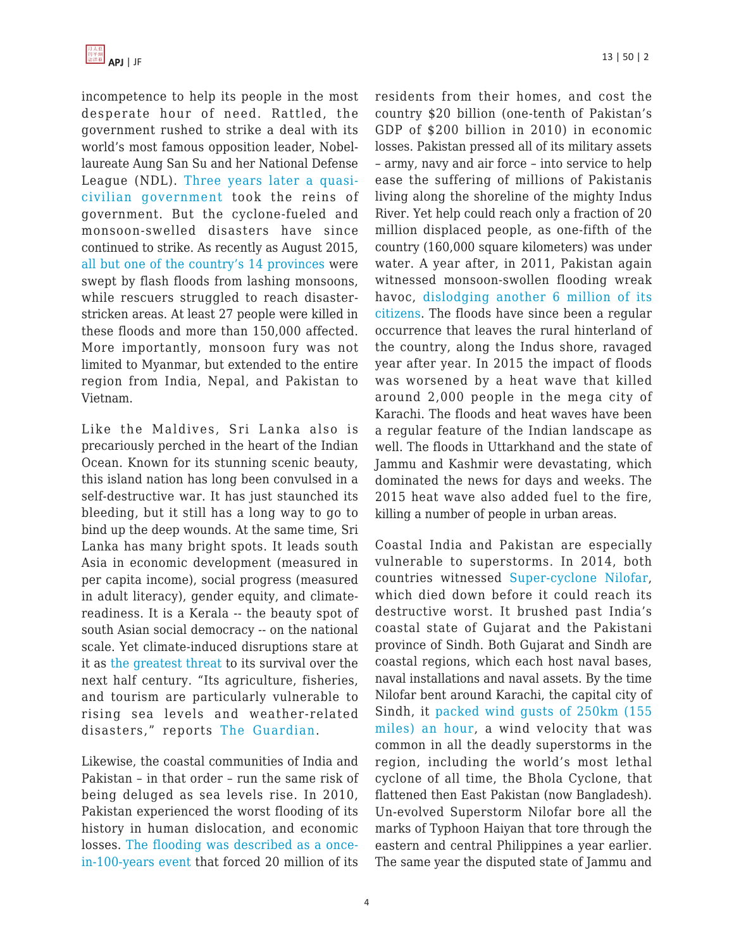incompetence to help its people in the most desperate hour of need. Rattled, the government rushed to strike a deal with its world's most famous opposition leader, Nobellaureate Aung San Su and her National Defense League (NDL). [Three years later a quasi](http://www.theguardian.com/world/2015/aug/02/burma-flood-toll-will-increase-as-monsoon-rains-lash-region-warns-un)[civilian government](http://www.theguardian.com/world/2015/aug/02/burma-flood-toll-will-increase-as-monsoon-rains-lash-region-warns-un) took the reins of government. But the cyclone-fueled and monsoon-swelled disasters have since continued to strike. As recently as August 2015, [all but one of the country's 14 provinces](http://www.theguardian.com/world/2015/aug/02/burma-flood-toll-will-increase-as-monsoon-rains-lash-region-warns-un) were swept by flash floods from lashing monsoons, while rescuers struggled to reach disasterstricken areas. At least 27 people were killed in these floods and more than 150,000 affected. More importantly, monsoon fury was not limited to Myanmar, but extended to the entire region from India, Nepal, and Pakistan to Vietnam.

Like the Maldives, Sri Lanka also is precariously perched in the heart of the Indian Ocean. Known for its stunning scenic beauty, this island nation has long been convulsed in a self-destructive war. It has just staunched its bleeding, but it still has a long way to go to bind up the deep wounds. At the same time, Sri Lanka has many bright spots. It leads south Asia in economic development (measured in per capita income), social progress (measured in adult literacy), gender equity, and climatereadiness. It is a Kerala -- the beauty spot of south Asian social democracy -- on the national scale. Yet climate-induced disruptions stare at it as [the greatest threat](http://www.theguardian.com/world/2013/nov/13/climate-change-sri-lanka) to its survival over the next half century. "Its agriculture, fisheries, and tourism are particularly vulnerable to rising sea levels and weather-related disasters," reports [The Guardian.](http://www.theguardian.com/world/2013/nov/13/climate-change-sri-lanka)

Likewise, the coastal communities of India and Pakistan – in that order – run the same risk of being deluged as sea levels rise. In 2010, Pakistan experienced the worst flooding of its history in human dislocation, and economic losses. [The flooding was described as a once](http://www.fprc.in/pdf/J-20.pdf)[in-100-years event](http://www.fprc.in/pdf/J-20.pdf) that forced 20 million of its residents from their homes, and cost the country \$20 billion (one-tenth of Pakistan's GDP of \$200 billion in 2010) in economic losses. Pakistan pressed all of its military assets – army, navy and air force – into service to help ease the suffering of millions of Pakistanis living along the shoreline of the mighty Indus River. Yet help could reach only a fraction of 20 million displaced people, as one-fifth of the country (160,000 square kilometers) was under water. A year after, in 2011, Pakistan again witnessed monsoon-swollen flooding wreak havoc, [dislodging another 6 million of its](http://www.fprc.in/pdf/J-20.pdf) [citizens](http://www.fprc.in/pdf/J-20.pdf). The floods have since been a regular occurrence that leaves the rural hinterland of the country, along the Indus shore, ravaged year after year. In 2015 the impact of floods was worsened by a heat wave that killed around 2,000 people in the mega city of Karachi. The floods and heat waves have been a regular feature of the Indian landscape as well. The floods in Uttarkhand and the state of Jammu and Kashmir were devastating, which dominated the news for days and weeks. The 2015 heat wave also added fuel to the fire, killing a number of people in urban areas.

Coastal India and Pakistan are especially vulnerable to superstorms. In 2014, both countries witnessed [Super-cyclone Nilofar,](http://www.huffingtonpost.com/mariam-khan/cyclone-nilofar-another-w_b_6070788.html) which died down before it could reach its destructive worst. It brushed past India's coastal state of Gujarat and the Pakistani province of Sindh. Both Gujarat and Sindh are coastal regions, which each host naval bases, naval installations and naval assets. By the time Nilofar bent around Karachi, the capital city of Sindh, it [packed wind gusts of 250km \(155](http://www.huffingtonpost.com/mariam-khan/cyclone-nilofar-another-w_b_6070788.html) [miles\) an hour,](http://www.huffingtonpost.com/mariam-khan/cyclone-nilofar-another-w_b_6070788.html) a wind velocity that was common in all the deadly superstorms in the region, including the world's most lethal cyclone of all time, the Bhola Cyclone, that flattened then East Pakistan (now Bangladesh). Un-evolved Superstorm Nilofar bore all the marks of Typhoon Haiyan that tore through the eastern and central Philippines a year earlier. The same year the disputed state of Jammu and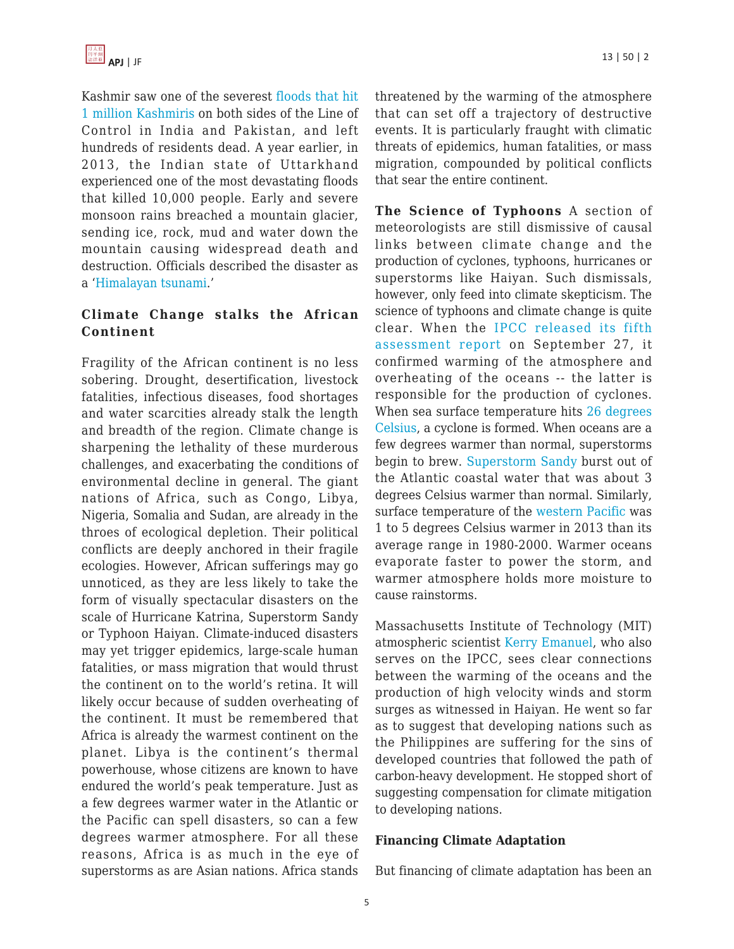Kashmir saw one of the severest [floods that hit](http://www.dailymail.co.uk/news/article-2752553/More-450-dead-300-000-stranded-Kashmir-struggles-cope-days-floods-landslides-heavy-monsoon.html) [1 million Kashmiris](http://www.dailymail.co.uk/news/article-2752553/More-450-dead-300-000-stranded-Kashmir-struggles-cope-days-floods-landslides-heavy-monsoon.html) on both sides of the Line of Control in India and Pakistan, and left hundreds of residents dead. A year earlier, in 2013, the Indian state of Uttarkhand experienced one of the most devastating floods that killed 10,000 people. Early and severe monsoon rains breached a mountain glacier, sending ice, rock, mud and water down the mountain causing widespread death and destruction. Officials described the disaster as a '[Himalayan tsunami.](http://americares.org/who-we-are/newsroom/news/emergency-aid-for-catastrophic-north-india-flooding.html?gclid=CNOQgriOycgCFYWWvAodgHMO_A)'

## **Climate Change stalks the African Continent**

Fragility of the African continent is no less sobering. Drought, desertification, livestock fatalities, infectious diseases, food shortages and water scarcities already stalk the length and breadth of the region. Climate change is sharpening the lethality of these murderous challenges, and exacerbating the conditions of environmental decline in general. The giant nations of Africa, such as Congo, Libya, Nigeria, Somalia and Sudan, are already in the throes of ecological depletion. Their political conflicts are deeply anchored in their fragile ecologies. However, African sufferings may go unnoticed, as they are less likely to take the form of visually spectacular disasters on the scale of Hurricane Katrina, Superstorm Sandy or Typhoon Haiyan. Climate-induced disasters may yet trigger epidemics, large-scale human fatalities, or mass migration that would thrust the continent on to the world's retina. It will likely occur because of sudden overheating of the continent. It must be remembered that Africa is already the warmest continent on the planet. Libya is the continent's thermal powerhouse, whose citizens are known to have endured the world's peak temperature. Just as a few degrees warmer water in the Atlantic or the Pacific can spell disasters, so can a few degrees warmer atmosphere. For all these reasons, Africa is as much in the eye of superstorms as are Asian nations. Africa stands threatened by the warming of the atmosphere that can set off a trajectory of destructive events. It is particularly fraught with climatic threats of epidemics, human fatalities, or mass migration, compounded by political conflicts that sear the entire continent.

**The Science of Typhoons** A section of meteorologists are still dismissive of causal links between climate change and the production of cyclones, typhoons, hurricanes or superstorms like Haiyan. Such dismissals, however, only feed into climate skepticism. The science of typhoons and climate change is quite clear. When the [IPCC released its fifth](http://www.ipcc.ch/report/ar5/wg1/#.UorpfWbnZlY) [assessment report](http://www.ipcc.ch/report/ar5/wg1/#.UorpfWbnZlY) on September 27, it confirmed warming of the atmosphere and overheating of the oceans -- the latter is responsible for the production of cyclones. When sea surface temperature hits [26 degrees](http://theenergycollective.com/users/jim-baird) [Celsius,](http://theenergycollective.com/users/jim-baird) a cyclone is formed. When oceans are a few degrees warmer than normal, superstorms begin to brew. [Superstorm Sandy](http://theenergycollective.com/jim-baird/303591/wanted-climate-bounty) burst out of the Atlantic coastal water that was about 3 degrees Celsius warmer than normal. Similarly, surface temperature of the [western Pacific](http://theenergycollective.com/jim-baird/303591/wanted-climate-bounty) was 1 to 5 degrees Celsius warmer in 2013 than its average range in 1980-2000. Warmer oceans evaporate faster to power the storm, and warmer atmosphere holds more moisture to cause rainstorms.

Massachusetts Institute of Technology (MIT) atmospheric scientist [Kerry Emanuel,](http://onpoint.wbur.org/2013/11/13/typhoon-haiyan-philippines-climate-change) who also serves on the IPCC, sees clear connections between the warming of the oceans and the production of high velocity winds and storm surges as witnessed in Haiyan. He went so far as to suggest that developing nations such as the Philippines are suffering for the sins of developed countries that followed the path of carbon-heavy development. He stopped short of suggesting compensation for climate mitigation to developing nations.

#### **Financing Climate Adaptation**

But financing of climate adaptation has been an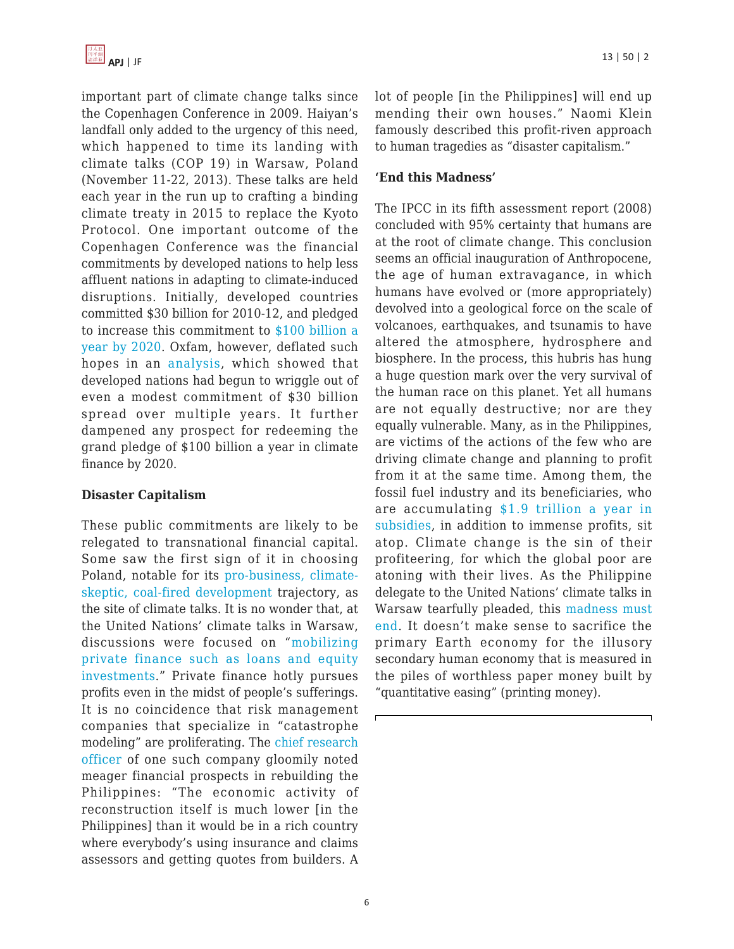important part of climate change talks since the Copenhagen Conference in 2009. Haiyan's landfall only added to the urgency of this need, which happened to time its landing with climate talks (COP 19) in Warsaw, Poland (November 11-22, 2013). These talks are held each year in the run up to crafting a binding climate treaty in 2015 to replace the Kyoto Protocol. One important outcome of the Copenhagen Conference was the financial commitments by developed nations to help less affluent nations in adapting to climate-induced disruptions. Initially, developed countries committed \$30 billion for 2010-12, and pledged to increase this commitment to [\\$100 billion a](http://www.theecologist.org/News/news_analysis/2158539/cop19_poor_countries_in_the_dark_on_climate_finance.html) [year by 2020.](http://www.theecologist.org/News/news_analysis/2158539/cop19_poor_countries_in_the_dark_on_climate_finance.html) Oxfam, however, deflated such hopes in an [analysis](http://www.theecologist.org/News/news_analysis/2158539/cop19_poor_countries_in_the_dark_on_climate_finance.html), which showed that developed nations had begun to wriggle out of even a modest commitment of \$30 billion spread over multiple years. It further dampened any prospect for redeeming the grand pledge of \$100 billion a year in climate finance by 2020.

## **Disaster Capitalism**

These public commitments are likely to be relegated to transnational financial capital. Some saw the first sign of it in choosing Poland, notable for its [pro-business, climate](http://www.theecologist.org/News/news_analysis/2158539/cop19_poor_countries_in_the_dark_on_climate_finance.html)[skeptic, coal-fired development](http://www.theecologist.org/News/news_analysis/2158539/cop19_poor_countries_in_the_dark_on_climate_finance.html) trajectory, as the site of climate talks. It is no wonder that, at the United Nations' climate talks in Warsaw, discussions were focused on "[mobilizing](http://www.theecologist.org/News/news_analysis/2158539/cop19_poor_countries_in_the_dark_on_climate_finance.html) [private finance such as loans and equity](http://www.theecologist.org/News/news_analysis/2158539/cop19_poor_countries_in_the_dark_on_climate_finance.html) [investments.](http://www.theecologist.org/News/news_analysis/2158539/cop19_poor_countries_in_the_dark_on_climate_finance.html)" Private finance hotly pursues profits even in the midst of people's sufferings. It is no coincidence that risk management companies that specialize in "catastrophe modeling" are proliferating. The [chief research](http://rt.com/business/phillipines-hurricane-economic-losses-581/) [officer](http://rt.com/business/phillipines-hurricane-economic-losses-581/) of one such company gloomily noted meager financial prospects in rebuilding the Philippines: "The economic activity of reconstruction itself is much lower [in the Philippines] than it would be in a rich country where everybody's using insurance and claims assessors and getting quotes from builders. A lot of people [in the Philippines] will end up mending their own houses." Naomi Klein famously described this profit-riven approach to human tragedies as "disaster capitalism."

### **'End this Madness'**

The IPCC in its fifth assessment report (2008) concluded with 95% certainty that humans are at the root of climate change. This conclusion seems an official inauguration of Anthropocene, the age of human extravagance, in which humans have evolved or (more appropriately) devolved into a geological force on the scale of volcanoes, earthquakes, and tsunamis to have altered the atmosphere, hydrosphere and biosphere. In the process, this hubris has hung a huge question mark over the very survival of the human race on this planet. Yet all humans are not equally destructive; nor are they equally vulnerable. Many, as in the Philippines, are victims of the actions of the few who are driving climate change and planning to profit from it at the same time. Among them, the fossil fuel industry and its beneficiaries, who are accumulating [\\$1.9 trillion a year in](http://www.imf.org/external/np/sec/pr/2013/pr1393.htm) [subsidies,](http://www.imf.org/external/np/sec/pr/2013/pr1393.htm) in addition to immense profits, sit atop. Climate change is the sin of their profiteering, for which the global poor are atoning with their lives. As the Philippine delegate to the United Nations' climate talks in Warsaw tearfully pleaded, this [madness must](http://www.telegraph.co.uk/news/worldnews/asia/philippines/10443293/Typhoon-Haiyan-Philippines-climate-change-commissioner-breaks-down-at-UN-talks.html) [end](http://www.telegraph.co.uk/news/worldnews/asia/philippines/10443293/Typhoon-Haiyan-Philippines-climate-change-commissioner-breaks-down-at-UN-talks.html). It doesn't make sense to sacrifice the primary Earth economy for the illusory secondary human economy that is measured in the piles of worthless paper money built by "quantitative easing" (printing money).